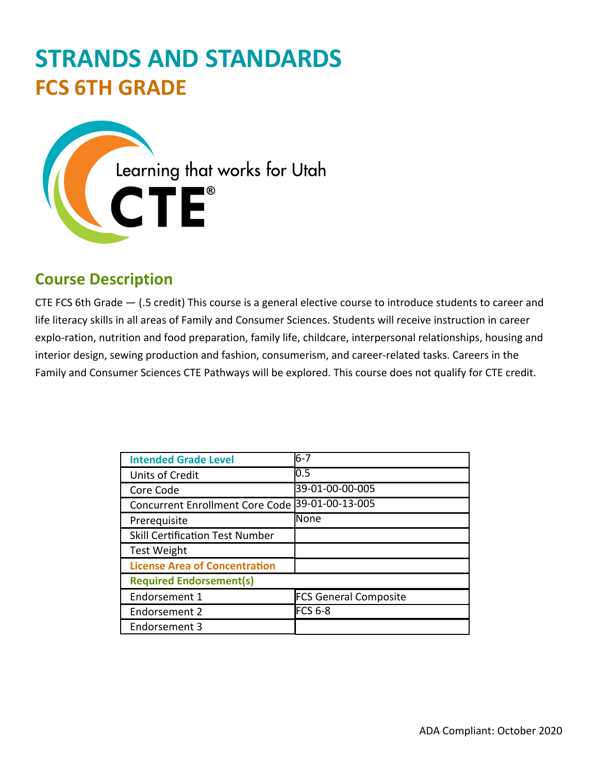# **STRANDS AND STANDARDS FCS 6TH GRADE**



# **Course Description**

CTE FCS 6th Grade — (.5 credit) This course is a general elective course to introduce students to career and life literacy skills in all areas of Family and Consumer Sciences. Students will receive instruction in career explo-ration, nutrition and food preparation, family life, childcare, interpersonal relationships, housing and interior design, sewing production and fashion, consumerism, and career-related tasks. Careers in the Family and Consumer Sciences CTE Pathways will be explored. This course does not qualify for CTE credit.

| <b>Intended Grade Level</b>            | $6 - 7$                      |
|----------------------------------------|------------------------------|
| <b>Units of Credit</b>                 | 0.5                          |
| Core Code                              | 39-01-00-00-005              |
| <b>Concurrent Enrollment Core Code</b> | 39-01-00-13-005              |
| Prerequisite                           | <b>N</b> one                 |
| <b>Skill Certification Test Number</b> |                              |
| <b>Test Weight</b>                     |                              |
| <b>License Area of Concentration</b>   |                              |
| <b>Required Endorsement(s)</b>         |                              |
| Endorsement 1                          | <b>FCS General Composite</b> |
| Endorsement 2                          | <b>FCS 6-8</b>               |
| Endorsement 3                          |                              |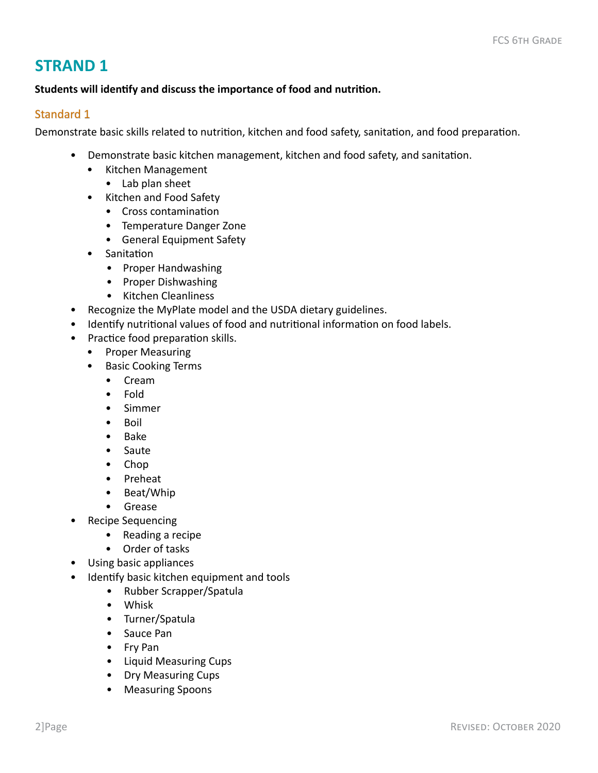#### **Students will identify and discuss the importance of food and nutrition.**

#### Standard 1

Demonstrate basic skills related to nutrition, kitchen and food safety, sanitation, and food preparation.

- Demonstrate basic kitchen management, kitchen and food safety, and sanitation.
	- Kitchen Management
		- Lab plan sheet
	- Kitchen and Food Safety
		- Cross contamination
		- Temperature Danger Zone
		- General Equipment Safety
	- Sanitation
		- Proper Handwashing
		- Proper Dishwashing
		- Kitchen Cleanliness
- Recognize the MyPlate model and the USDA dietary guidelines.
- Identify nutritional values of food and nutritional information on food labels.
- Practice food preparation skills.
	- Proper Measuring
	- Basic Cooking Terms
		- Cream
		- Fold
		- Simmer
		- Boil
		- Bake
		- Saute
		- Chop
		- Preheat
		- Beat/Whip
		- Grease
- Recipe Sequencing
	- Reading a recipe
	- Order of tasks
- Using basic appliances
- Identify basic kitchen equipment and tools
	- Rubber Scrapper/Spatula
	- Whisk
	- Turner/Spatula
	- Sauce Pan
	- Fry Pan
	- Liquid Measuring Cups
	- Dry Measuring Cups
	- Measuring Spoons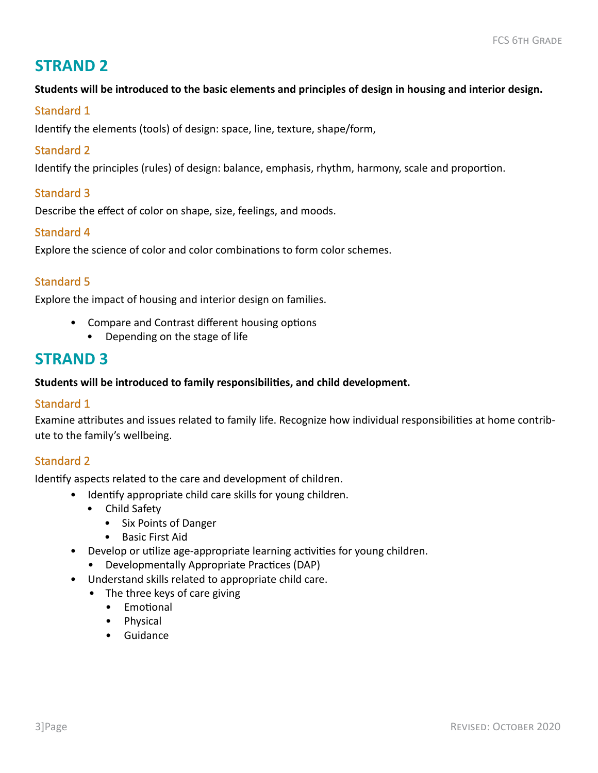#### **Students will be introduced to the basic elements and principles of design in housing and interior design.**

#### Standard 1

Identify the elements (tools) of design: space, line, texture, shape/form,

#### Standard 2

Identify the principles (rules) of design: balance, emphasis, rhythm, harmony, scale and proportion.

#### Standard 3

Describe the effect of color on shape, size, feelings, and moods.

#### Standard 4

Explore the science of color and color combinations to form color schemes.

#### Standard 5

Explore the impact of housing and interior design on families.

- Compare and Contrast different housing options
	- Depending on the stage of life

## **STRAND 3**

#### **Students will be introduced to family responsibilities, and child development.**

#### Standard 1

Examine attributes and issues related to family life. Recognize how individual responsibilities at home contribute to the family's wellbeing.

#### Standard 2

Identify aspects related to the care and development of children.

- Identify appropriate child care skills for young children.
	- Child Safety
		- Six Points of Danger
		- Basic First Aid
- Develop or utilize age-appropriate learning activities for young children.
	- Developmentally Appropriate Practices (DAP)
- Understand skills related to appropriate child care.
	- The three keys of care giving
		- Emotional
		- Physical
		- Guidance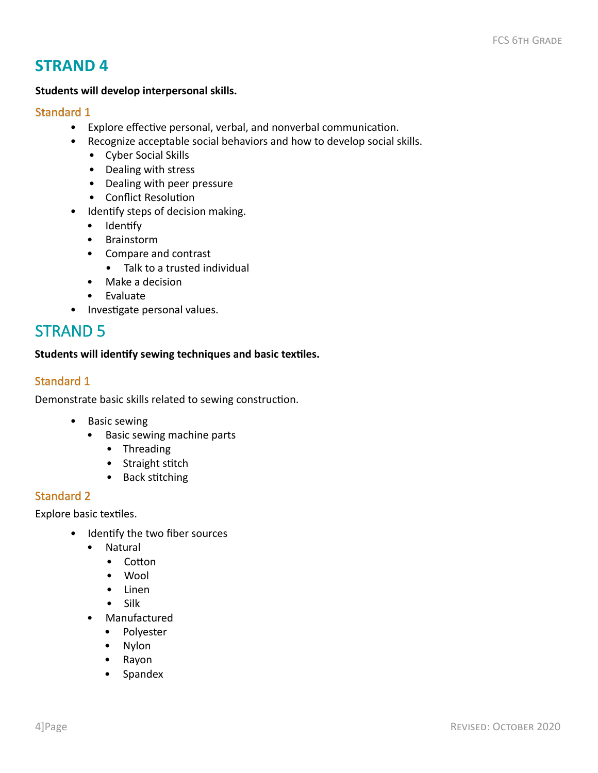#### **Students will develop interpersonal skills.**

#### Standard 1

- Explore effective personal, verbal, and nonverbal communication.
- Recognize acceptable social behaviors and how to develop social skills.
	- Cyber Social Skills
	- Dealing with stress
	- Dealing with peer pressure
	- Conflict Resolution
- Identify steps of decision making.
	- Identify
	- Brainstorm
	- Compare and contrast
		- Talk to a trusted individual
	- Make a decision
	- Evaluate
- Investigate personal values.

## STRAND 5

#### **Students will identify sewing techniques and basic textiles.**

#### Standard 1

Demonstrate basic skills related to sewing construction.

- Basic sewing
	- Basic sewing machine parts
		- Threading
		- Straight stitch
		- Back stitching

#### Standard 2

Explore basic textiles.

- Identify the two fiber sources
	- Natural
		- Cotton
		- Wool
		- Linen
		- Silk
	- Manufactured
		- Polyester
		- Nylon
		- Rayon
		- Spandex